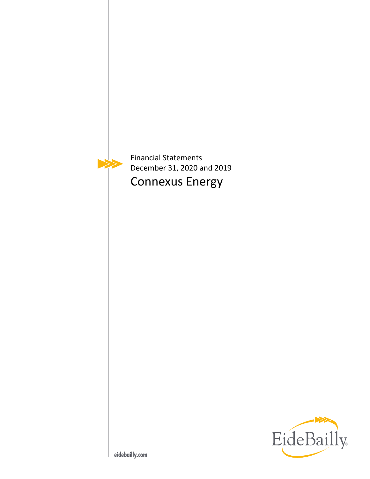

Financial Statements December 31, 2020 and 2019 Connexus Energy

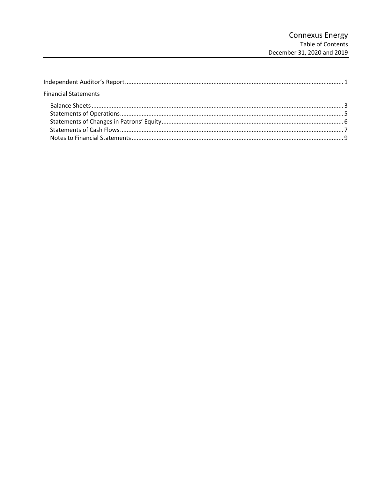| <b>Financial Statements</b> |  |
|-----------------------------|--|
|                             |  |
|                             |  |
|                             |  |
|                             |  |
|                             |  |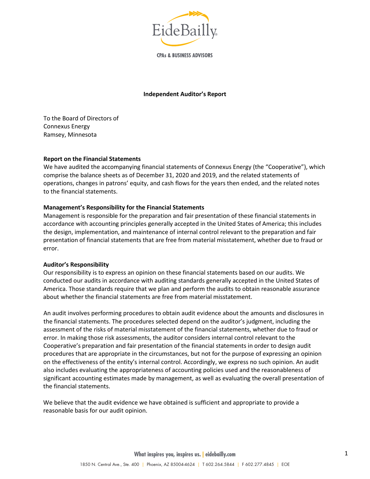

**CPAs & BUSINESS ADVISORS** 

#### **Independent Auditor's Report**

<span id="page-2-0"></span>To the Board of Directors of Connexus Energy Ramsey, Minnesota

#### **Report on the Financial Statements**

We have audited the accompanying financial statements of Connexus Energy (the "Cooperative"), which comprise the balance sheets as of December 31, 2020 and 2019, and the related statements of operations, changes in patrons' equity, and cash flows for the years then ended, and the related notes to the financial statements.

#### **Management's Responsibility for the Financial Statements**

Management is responsible for the preparation and fair presentation of these financial statements in accordance with accounting principles generally accepted in the United States of America; this includes the design, implementation, and maintenance of internal control relevant to the preparation and fair presentation of financial statements that are free from material misstatement, whether due to fraud or error.

#### **Auditor's Responsibility**

Our responsibility is to express an opinion on these financial statements based on our audits. We conducted our audits in accordance with auditing standards generally accepted in the United States of America. Those standards require that we plan and perform the audits to obtain reasonable assurance about whether the financial statements are free from material misstatement.

An audit involves performing procedures to obtain audit evidence about the amounts and disclosures in the financial statements. The procedures selected depend on the auditor's judgment, including the assessment of the risks of material misstatement of the financial statements, whether due to fraud or error. In making those risk assessments, the auditor considers internal control relevant to the Cooperative's preparation and fair presentation of the financial statements in order to design audit procedures that are appropriate in the circumstances, but not for the purpose of expressing an opinion on the effectiveness of the entity's internal control. Accordingly, we express no such opinion. An audit also includes evaluating the appropriateness of accounting policies used and the reasonableness of significant accounting estimates made by management, as well as evaluating the overall presentation of the financial statements.

We believe that the audit evidence we have obtained is sufficient and appropriate to provide a reasonable basis for our audit opinion.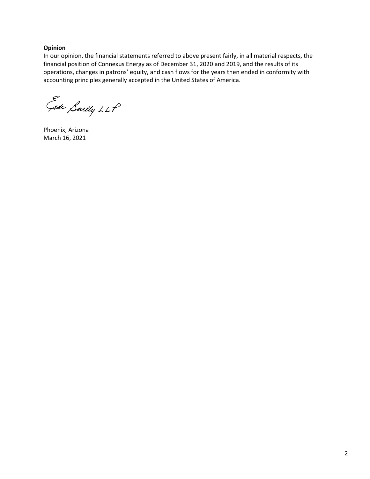#### **Opinion**

In our opinion, the financial statements referred to above present fairly, in all material respects, the financial position of Connexus Energy as of December 31, 2020 and 2019, and the results of its operations, changes in patrons' equity, and cash flows for the years then ended in conformity with accounting principles generally accepted in the United States of America.

Gide Sailly LLP

Phoenix, Arizona March 16, 2021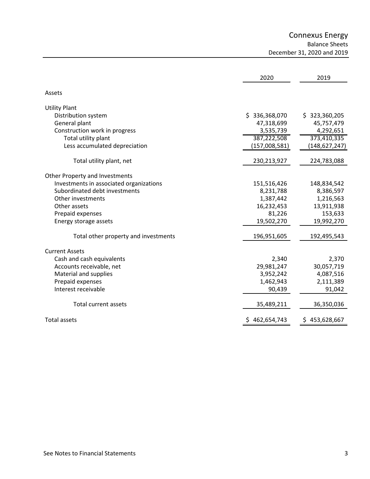# Connexus Energy Balance Sheets December 31, 2020 and 2019

<span id="page-4-1"></span><span id="page-4-0"></span>

|                                         | 2020          | 2019            |
|-----------------------------------------|---------------|-----------------|
| Assets                                  |               |                 |
| <b>Utility Plant</b>                    |               |                 |
| Distribution system                     | \$336,368,070 | \$323,360,205   |
| General plant                           | 47,318,699    | 45,757,479      |
| Construction work in progress           | 3,535,739     | 4,292,651       |
| Total utility plant                     | 387,222,508   | 373,410,335     |
| Less accumulated depreciation           | (157,008,581) | (148, 627, 247) |
| Total utility plant, net                | 230,213,927   | 224,783,088     |
| Other Property and Investments          |               |                 |
| Investments in associated organizations | 151,516,426   | 148,834,542     |
| Subordinated debt investments           | 8,231,788     | 8,386,597       |
| Other investments                       | 1,387,442     | 1,216,563       |
| Other assets                            | 16,232,453    | 13,911,938      |
| Prepaid expenses                        | 81,226        | 153,633         |
| Energy storage assets                   | 19,502,270    | 19,992,270      |
| Total other property and investments    | 196,951,605   | 192,495,543     |
| <b>Current Assets</b>                   |               |                 |
| Cash and cash equivalents               | 2,340         | 2,370           |
| Accounts receivable, net                | 29,981,247    | 30,057,719      |
| Material and supplies                   | 3,952,242     | 4,087,516       |
| Prepaid expenses                        | 1,462,943     | 2,111,389       |
| Interest receivable                     | 90,439        | 91,042          |
| <b>Total current assets</b>             | 35,489,211    | 36,350,036      |
| <b>Total assets</b>                     | \$462,654,743 | \$453,628,667   |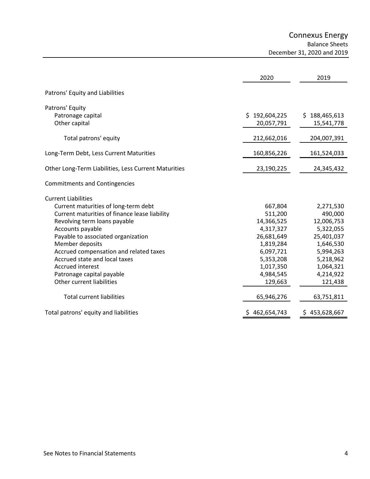Connexus Energy Balance Sheets December 31, 2020 and 2019

|                                                                                                                                                                                                                                                                                                                                                                                                                                      | 2020                                                                                                                                                  | 2019                                                                                                                                                    |
|--------------------------------------------------------------------------------------------------------------------------------------------------------------------------------------------------------------------------------------------------------------------------------------------------------------------------------------------------------------------------------------------------------------------------------------|-------------------------------------------------------------------------------------------------------------------------------------------------------|---------------------------------------------------------------------------------------------------------------------------------------------------------|
| Patrons' Equity and Liabilities                                                                                                                                                                                                                                                                                                                                                                                                      |                                                                                                                                                       |                                                                                                                                                         |
| Patrons' Equity<br>Patronage capital<br>Other capital                                                                                                                                                                                                                                                                                                                                                                                | \$192,604,225<br>20,057,791                                                                                                                           | \$188,465,613<br>15,541,778                                                                                                                             |
| Total patrons' equity                                                                                                                                                                                                                                                                                                                                                                                                                | 212,662,016                                                                                                                                           | 204,007,391                                                                                                                                             |
| Long-Term Debt, Less Current Maturities                                                                                                                                                                                                                                                                                                                                                                                              | 160,856,226                                                                                                                                           | 161,524,033                                                                                                                                             |
| Other Long-Term Liabilities, Less Current Maturities                                                                                                                                                                                                                                                                                                                                                                                 | 23,190,225                                                                                                                                            | 24,345,432                                                                                                                                              |
| <b>Commitments and Contingencies</b>                                                                                                                                                                                                                                                                                                                                                                                                 |                                                                                                                                                       |                                                                                                                                                         |
| <b>Current Liabilities</b><br>Current maturities of long-term debt<br>Current maturities of finance lease liability<br>Revolving term loans payable<br>Accounts payable<br>Payable to associated organization<br>Member deposits<br>Accrued compensation and related taxes<br>Accrued state and local taxes<br><b>Accrued interest</b><br>Patronage capital payable<br>Other current liabilities<br><b>Total current liabilities</b> | 667,804<br>511,200<br>14,366,525<br>4,317,327<br>26,681,649<br>1,819,284<br>6,097,721<br>5,353,208<br>1,017,350<br>4,984,545<br>129,663<br>65,946,276 | 2,271,530<br>490,000<br>12,006,753<br>5,322,055<br>25,401,037<br>1,646,530<br>5,994,263<br>5,218,962<br>1,064,321<br>4,214,922<br>121,438<br>63,751,811 |
| Total patrons' equity and liabilities                                                                                                                                                                                                                                                                                                                                                                                                | \$462,654,743                                                                                                                                         | \$453,628,667                                                                                                                                           |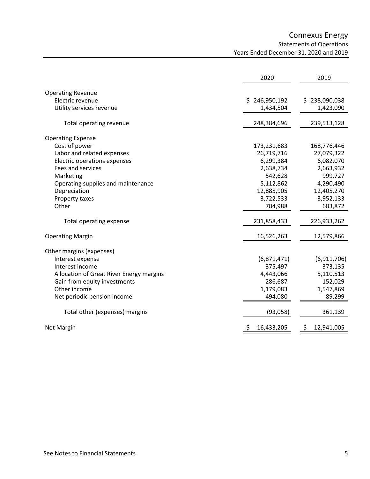# Connexus Energy Statements of Operations Years Ended December 31, 2020 and 2019

<span id="page-6-0"></span>

|                                          | 2020               | 2019              |
|------------------------------------------|--------------------|-------------------|
| <b>Operating Revenue</b>                 |                    |                   |
| Electric revenue                         | 246,950,192<br>\$. | \$238,090,038     |
| Utility services revenue                 | 1,434,504          | 1,423,090         |
| Total operating revenue                  | 248,384,696        | 239,513,128       |
| <b>Operating Expense</b>                 |                    |                   |
| Cost of power                            | 173,231,683        | 168,776,446       |
| Labor and related expenses               | 26,719,716         | 27,079,322        |
| Electric operations expenses             | 6,299,384          | 6,082,070         |
| Fees and services                        | 2,638,734          | 2,663,932         |
| Marketing                                | 542,628            | 999,727           |
| Operating supplies and maintenance       | 5,112,862          | 4,290,490         |
| Depreciation                             | 12,885,905         | 12,405,270        |
| Property taxes                           | 3,722,533          | 3,952,133         |
| Other                                    | 704,988            | 683,872           |
| <b>Total operating expense</b>           | 231,858,433        | 226,933,262       |
| <b>Operating Margin</b>                  | 16,526,263         | 12,579,866        |
| Other margins (expenses)                 |                    |                   |
| Interest expense                         | (6,871,471)        | (6,911,706)       |
| Interest income                          | 375,497            | 373,135           |
| Allocation of Great River Energy margins | 4,443,066          | 5,110,513         |
| Gain from equity investments             | 286,687            | 152,029           |
| Other income                             | 1,179,083          | 1,547,869         |
| Net periodic pension income              | 494,080            | 89,299            |
| Total other (expenses) margins           | (93,058)           | 361,139           |
| <b>Net Margin</b>                        | \$<br>16,433,205   | \$.<br>12,941,005 |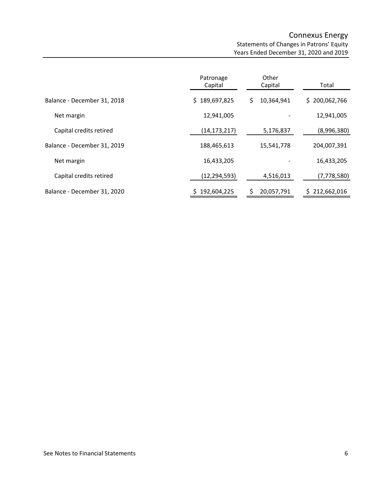# Connexus Energy Statements of Changes in Patrons' Equity Years Ended December 31, 2020 and 2019

<span id="page-7-0"></span>

|                             | Patronage<br>Capital | Other<br>Capital | Total         |
|-----------------------------|----------------------|------------------|---------------|
| Balance - December 31, 2018 | \$189,697,825        | \$<br>10,364,941 | \$200,062,766 |
| Net margin                  | 12,941,005           |                  | 12,941,005    |
| Capital credits retired     | (14, 173, 217)       | 5,176,837        | (8,996,380)   |
| Balance - December 31, 2019 | 188,465,613          | 15,541,778       | 204,007,391   |
| Net margin                  | 16,433,205           |                  | 16,433,205    |
| Capital credits retired     | (12, 294, 593)       | 4,516,013        | (7, 778, 580) |
| Balance - December 31, 2020 | 192,604,225          | 20,057,791       | 212,662,016   |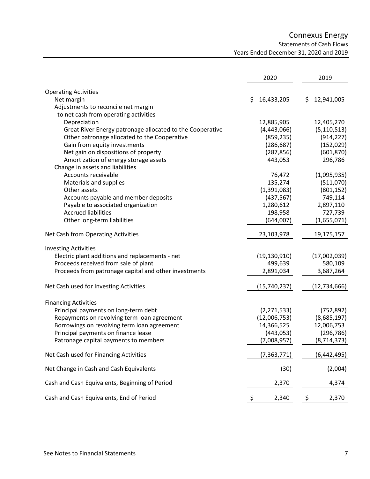# Connexus Energy Statements of Cash Flows Years Ended December 31, 2020 and 2019

<span id="page-8-0"></span>

|                                                                                                                                                                                                                                                                                                                         | 2020                                                                                | 2019                                                                                     |
|-------------------------------------------------------------------------------------------------------------------------------------------------------------------------------------------------------------------------------------------------------------------------------------------------------------------------|-------------------------------------------------------------------------------------|------------------------------------------------------------------------------------------|
| <b>Operating Activities</b><br>Net margin<br>Adjustments to reconcile net margin                                                                                                                                                                                                                                        | 16,433,205<br>\$                                                                    | 12,941,005<br>\$.                                                                        |
| to net cash from operating activities<br>Depreciation<br>Great River Energy patronage allocated to the Cooperative<br>Other patronage allocated to the Cooperative<br>Gain from equity investments<br>Net gain on dispositions of property<br>Amortization of energy storage assets<br>Change in assets and liabilities | 12,885,905<br>(4,443,066)<br>(859, 235)<br>(286, 687)<br>(287, 856)<br>443,053      | 12,405,270<br>(5, 110, 513)<br>(914, 227)<br>(152, 029)<br>(601, 870)<br>296,786         |
| Accounts receivable<br>Materials and supplies<br>Other assets<br>Accounts payable and member deposits<br>Payable to associated organization<br><b>Accrued liabilities</b><br>Other long-term liabilities                                                                                                                | 76,472<br>135,274<br>(1,391,083)<br>(437, 567)<br>1,280,612<br>198,958<br>(644,007) | (1,095,935)<br>(511,070)<br>(801, 152)<br>749,114<br>2,897,110<br>727,739<br>(1,655,071) |
| Net Cash from Operating Activities                                                                                                                                                                                                                                                                                      | 23,103,978                                                                          | 19,175,157                                                                               |
| <b>Investing Activities</b><br>Electric plant additions and replacements - net<br>Proceeds received from sale of plant<br>Proceeds from patronage capital and other investments                                                                                                                                         | (19, 130, 910)<br>499,639<br>2,891,034                                              | (17,002,039)<br>580,109<br>3,687,264                                                     |
| Net Cash used for Investing Activities                                                                                                                                                                                                                                                                                  | (15,740,237)                                                                        | (12, 734, 666)                                                                           |
| <b>Financing Activities</b><br>Principal payments on long-term debt<br>Repayments on revolving term loan agreement<br>Borrowings on revolving term loan agreement<br>Principal payments on finance lease<br>Patronage capital payments to members                                                                       | (2, 271, 533)<br>(12,006,753)<br>14,366,525<br>(443, 053)<br>(7,008,957)            | (752, 892)<br>(8,685,197)<br>12,006,753<br>(296, 786)<br>(8, 714, 373)                   |
| Net Cash used for Financing Activities                                                                                                                                                                                                                                                                                  | (7, 363, 771)                                                                       | (6,442,495)                                                                              |
| Net Change in Cash and Cash Equivalents                                                                                                                                                                                                                                                                                 | (30)                                                                                | (2,004)                                                                                  |
| Cash and Cash Equivalents, Beginning of Period                                                                                                                                                                                                                                                                          | 2,370                                                                               | 4,374                                                                                    |
| Cash and Cash Equivalents, End of Period                                                                                                                                                                                                                                                                                | \$<br>2,340                                                                         | \$<br>2,370                                                                              |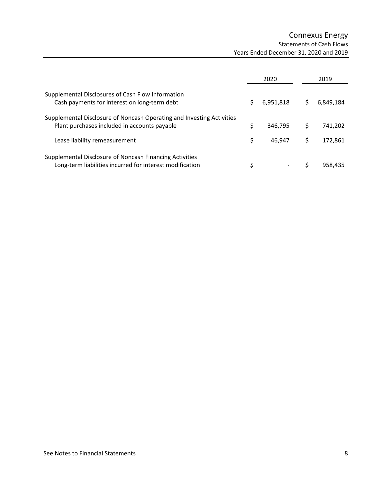# Connexus Energy Statements of Cash Flows Years Ended December 31, 2020 and 2019

|                                                                                                                       | 2020      | 2019      |
|-----------------------------------------------------------------------------------------------------------------------|-----------|-----------|
| Supplemental Disclosures of Cash Flow Information<br>Cash payments for interest on long-term debt                     | 6,951,818 | 6,849,184 |
| Supplemental Disclosure of Noncash Operating and Investing Activities<br>Plant purchases included in accounts payable | 346.795   | 741,202   |
| Lease liability remeasurement                                                                                         | 46.947    | 172.861   |
| Supplemental Disclosure of Noncash Financing Activities<br>Long-term liabilities incurred for interest modification   |           | 958.435   |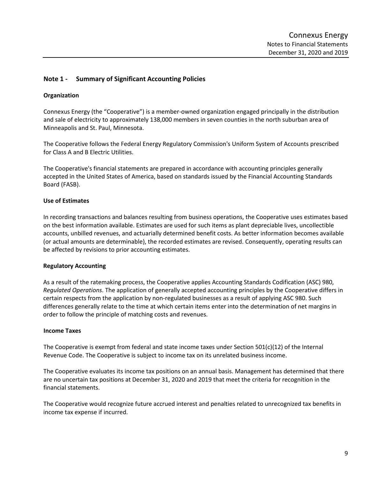# <span id="page-10-0"></span>**Note 1 - Summary of Significant Accounting Policies**

# **Organization**

Connexus Energy (the "Cooperative") is a member-owned organization engaged principally in the distribution and sale of electricity to approximately 138,000 members in seven counties in the north suburban area of Minneapolis and St. Paul, Minnesota.

The Cooperative follows the Federal Energy Regulatory Commission's Uniform System of Accounts prescribed for Class A and B Electric Utilities.

The Cooperative's financial statements are prepared in accordance with accounting principles generally accepted in the United States of America, based on standards issued by the Financial Accounting Standards Board (FASB).

# **Use of Estimates**

In recording transactions and balances resulting from business operations, the Cooperative uses estimates based on the best information available. Estimates are used for such items as plant depreciable lives, uncollectible accounts, unbilled revenues, and actuarially determined benefit costs. As better information becomes available (or actual amounts are determinable), the recorded estimates are revised. Consequently, operating results can be affected by revisions to prior accounting estimates.

# **Regulatory Accounting**

As a result of the ratemaking process, the Cooperative applies Accounting Standards Codification (ASC) 980, *Regulated Operations*. The application of generally accepted accounting principles by the Cooperative differs in certain respects from the application by non-regulated businesses as a result of applying ASC 980. Such differences generally relate to the time at which certain items enter into the determination of net margins in order to follow the principle of matching costs and revenues.

#### **Income Taxes**

The Cooperative is exempt from federal and state income taxes under Section 501(c)(12) of the Internal Revenue Code. The Cooperative is subject to income tax on its unrelated business income.

The Cooperative evaluates its income tax positions on an annual basis. Management has determined that there are no uncertain tax positions at December 31, 2020 and 2019 that meet the criteria for recognition in the financial statements.

The Cooperative would recognize future accrued interest and penalties related to unrecognized tax benefits in income tax expense if incurred.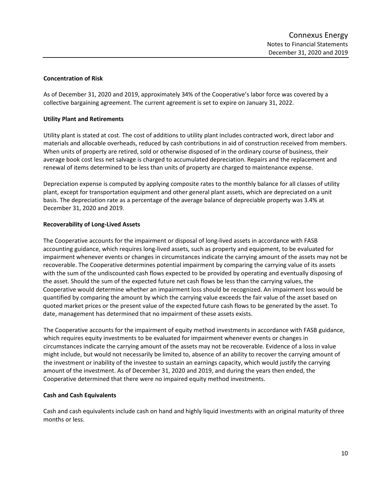# **Concentration of Risk**

As of December 31, 2020 and 2019, approximately 34% of the Cooperative's labor force was covered by a collective bargaining agreement. The current agreement is set to expire on January 31, 2022.

# **Utility Plant and Retirements**

Utility plant is stated at cost. The cost of additions to utility plant includes contracted work, direct labor and materials and allocable overheads, reduced by cash contributions in aid of construction received from members. When units of property are retired, sold or otherwise disposed of in the ordinary course of business, their average book cost less net salvage is charged to accumulated depreciation. Repairs and the replacement and renewal of items determined to be less than units of property are charged to maintenance expense.

Depreciation expense is computed by applying composite rates to the monthly balance for all classes of utility plant, except for transportation equipment and other general plant assets, which are depreciated on a unit basis. The depreciation rate as a percentage of the average balance of depreciable property was 3.4% at December 31, 2020 and 2019.

# **Recoverability of Long-Lived Assets**

The Cooperative accounts for the impairment or disposal of long-lived assets in accordance with FASB accounting guidance, which requires long-lived assets, such as property and equipment, to be evaluated for impairment whenever events or changes in circumstances indicate the carrying amount of the assets may not be recoverable. The Cooperative determines potential impairment by comparing the carrying value of its assets with the sum of the undiscounted cash flows expected to be provided by operating and eventually disposing of the asset. Should the sum of the expected future net cash flows be less than the carrying values, the Cooperative would determine whether an impairment loss should be recognized. An impairment loss would be quantified by comparing the amount by which the carrying value exceeds the fair value of the asset based on quoted market prices or the present value of the expected future cash flows to be generated by the asset. To date, management has determined that no impairment of these assets exists.

The Cooperative accounts for the impairment of equity method investments in accordance with FASB guidance, which requires equity investments to be evaluated for impairment whenever events or changes in circumstances indicate the carrying amount of the assets may not be recoverable. Evidence of a loss in value might include, but would not necessarily be limited to, absence of an ability to recover the carrying amount of the investment or inability of the investee to sustain an earnings capacity, which would justify the carrying amount of the investment. As of December 31, 2020 and 2019, and during the years then ended, the Cooperative determined that there were no impaired equity method investments.

# **Cash and Cash Equivalents**

Cash and cash equivalents include cash on hand and highly liquid investments with an original maturity of three months or less.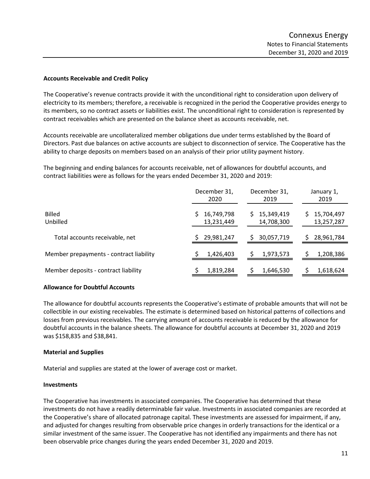# **Accounts Receivable and Credit Policy**

The Cooperative's revenue contracts provide it with the unconditional right to consideration upon delivery of electricity to its members; therefore, a receivable is recognized in the period the Cooperative provides energy to its members, so no contract assets or liabilities exist. The unconditional right to consideration is represented by contract receivables which are presented on the balance sheet as accounts receivable, net.

Accounts receivable are uncollateralized member obligations due under terms established by the Board of Directors. Past due balances on active accounts are subject to disconnection of service. The Cooperative has the ability to charge deposits on members based on an analysis of their prior utility payment history.

The beginning and ending balances for accounts receivable, net of allowances for doubtful accounts, and contract liabilities were as follows for the years ended December 31, 2020 and 2019:

|                                         | December 31,<br>2020           | December 31,<br>2019     | January 1,<br>2019             |
|-----------------------------------------|--------------------------------|--------------------------|--------------------------------|
| <b>Billed</b><br>Unbilled               | 16,749,798<br>Ś.<br>13,231,449 | 15,349,419<br>14,708,300 | 15,704,497<br>Ś.<br>13,257,287 |
| Total accounts receivable, net          | 29,981,247                     | 30,057,719               | ς<br>28,961,784                |
| Member prepayments - contract liability | 1,426,403                      | 1,973,573                | 1,208,386                      |
| Member deposits - contract liability    | 1,819,284                      | 1,646,530                | 1,618,624                      |

# **Allowance for Doubtful Accounts**

The allowance for doubtful accounts represents the Cooperative's estimate of probable amounts that will not be collectible in our existing receivables. The estimate is determined based on historical patterns of collections and losses from previous receivables. The carrying amount of accounts receivable is reduced by the allowance for doubtful accounts in the balance sheets. The allowance for doubtful accounts at December 31, 2020 and 2019 was \$158,835 and \$38,841.

# **Material and Supplies**

Material and supplies are stated at the lower of average cost or market.

# **Investments**

The Cooperative has investments in associated companies. The Cooperative has determined that these investments do not have a readily determinable fair value. Investments in associated companies are recorded at the Cooperative's share of allocated patronage capital. These investments are assessed for impairment, if any, and adjusted for changes resulting from observable price changes in orderly transactions for the identical or a similar investment of the same issuer. The Cooperative has not identified any impairments and there has not been observable price changes during the years ended December 31, 2020 and 2019.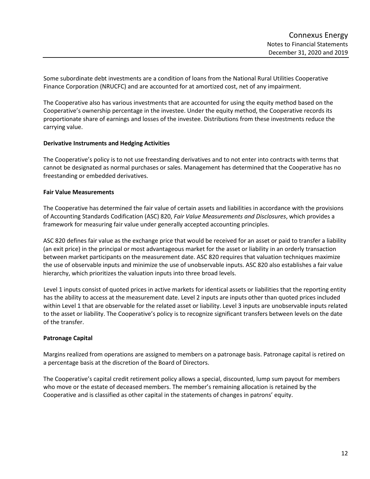Some subordinate debt investments are a condition of loans from the National Rural Utilities Cooperative Finance Corporation (NRUCFC) and are accounted for at amortized cost, net of any impairment.

The Cooperative also has various investments that are accounted for using the equity method based on the Cooperative's ownership percentage in the investee. Under the equity method, the Cooperative records its proportionate share of earnings and losses of the investee. Distributions from these investments reduce the carrying value.

# **Derivative Instruments and Hedging Activities**

The Cooperative's policy is to not use freestanding derivatives and to not enter into contracts with terms that cannot be designated as normal purchases or sales. Management has determined that the Cooperative has no freestanding or embedded derivatives.

#### **Fair Value Measurements**

The Cooperative has determined the fair value of certain assets and liabilities in accordance with the provisions of Accounting Standards Codification (ASC) 820, *Fair Value Measurements and Disclosures*, which provides a framework for measuring fair value under generally accepted accounting principles.

ASC 820 defines fair value as the exchange price that would be received for an asset or paid to transfer a liability (an exit price) in the principal or most advantageous market for the asset or liability in an orderly transaction between market participants on the measurement date. ASC 820 requires that valuation techniques maximize the use of observable inputs and minimize the use of unobservable inputs. ASC 820 also establishes a fair value hierarchy, which prioritizes the valuation inputs into three broad levels.

Level 1 inputs consist of quoted prices in active markets for identical assets or liabilities that the reporting entity has the ability to access at the measurement date. Level 2 inputs are inputs other than quoted prices included within Level 1 that are observable for the related asset or liability. Level 3 inputs are unobservable inputs related to the asset or liability. The Cooperative's policy is to recognize significant transfers between levels on the date of the transfer.

# **Patronage Capital**

Margins realized from operations are assigned to members on a patronage basis. Patronage capital is retired on a percentage basis at the discretion of the Board of Directors.

The Cooperative's capital credit retirement policy allows a special, discounted, lump sum payout for members who move or the estate of deceased members. The member's remaining allocation is retained by the Cooperative and is classified as other capital in the statements of changes in patrons' equity.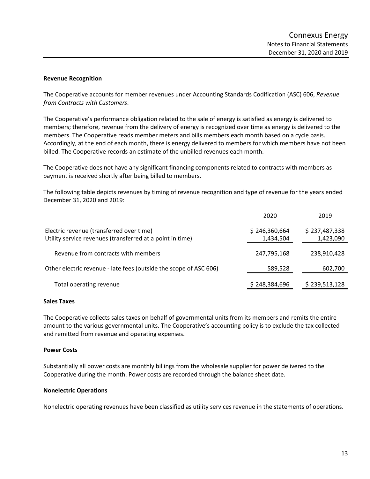# **Revenue Recognition**

The Cooperative accounts for member revenues under Accounting Standards Codification (ASC) 606, *Revenue from Contracts with Customers*.

The Cooperative's performance obligation related to the sale of energy is satisfied as energy is delivered to members; therefore, revenue from the delivery of energy is recognized over time as energy is delivered to the members. The Cooperative reads member meters and bills members each month based on a cycle basis. Accordingly, at the end of each month, there is energy delivered to members for which members have not been billed. The Cooperative records an estimate of the unbilled revenues each month.

The Cooperative does not have any significant financing components related to contracts with members as payment is received shortly after being billed to members.

The following table depicts revenues by timing of revenue recognition and type of revenue for the years ended December 31, 2020 and 2019:

|                                                                                                       | 2020                       | 2019                       |
|-------------------------------------------------------------------------------------------------------|----------------------------|----------------------------|
| Electric revenue (transferred over time)<br>Utility service revenues (transferred at a point in time) | \$246,360,664<br>1,434,504 | \$237,487,338<br>1,423,090 |
| Revenue from contracts with members                                                                   | 247,795,168                | 238,910,428                |
| Other electric revenue - late fees (outside the scope of ASC 606)                                     | 589,528                    | 602,700                    |
| Total operating revenue                                                                               | \$248,384,696              | \$239,513,128              |

# **Sales Taxes**

The Cooperative collects sales taxes on behalf of governmental units from its members and remits the entire amount to the various governmental units. The Cooperative's accounting policy is to exclude the tax collected and remitted from revenue and operating expenses.

# **Power Costs**

Substantially all power costs are monthly billings from the wholesale supplier for power delivered to the Cooperative during the month. Power costs are recorded through the balance sheet date.

# **Nonelectric Operations**

Nonelectric operating revenues have been classified as utility services revenue in the statements of operations.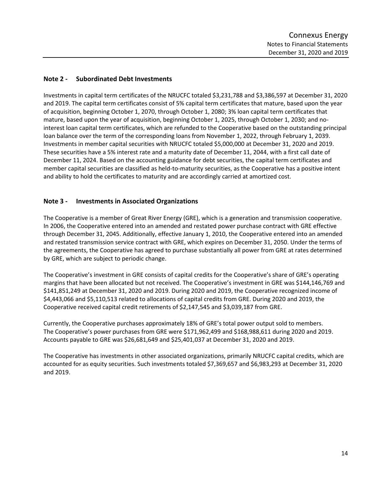# **Note 2 - Subordinated Debt Investments**

Investments in capital term certificates of the NRUCFC totaled \$3,231,788 and \$3,386,597 at December 31, 2020 and 2019. The capital term certificates consist of 5% capital term certificates that mature, based upon the year of acquisition, beginning October 1, 2070, through October 1, 2080; 3% loan capital term certificates that mature, based upon the year of acquisition, beginning October 1, 2025, through October 1, 2030; and nointerest loan capital term certificates, which are refunded to the Cooperative based on the outstanding principal loan balance over the term of the corresponding loans from November 1, 2022, through February 1, 2039. Investments in member capital securities with NRUCFC totaled \$5,000,000 at December 31, 2020 and 2019. These securities have a 5% interest rate and a maturity date of December 11, 2044, with a first call date of December 11, 2024. Based on the accounting guidance for debt securities, the capital term certificates and member capital securities are classified as held-to-maturity securities, as the Cooperative has a positive intent and ability to hold the certificates to maturity and are accordingly carried at amortized cost.

# **Note 3 - Investments in Associated Organizations**

The Cooperative is a member of Great River Energy (GRE), which is a generation and transmission cooperative. In 2006, the Cooperative entered into an amended and restated power purchase contract with GRE effective through December 31, 2045. Additionally, effective January 1, 2010, the Cooperative entered into an amended and restated transmission service contract with GRE, which expires on December 31, 2050. Under the terms of the agreements, the Cooperative has agreed to purchase substantially all power from GRE at rates determined by GRE, which are subject to periodic change.

The Cooperative's investment in GRE consists of capital credits for the Cooperative's share of GRE's operating margins that have been allocated but not received. The Cooperative's investment in GRE was \$144,146,769 and \$141,851,249 at December 31, 2020 and 2019. During 2020 and 2019, the Cooperative recognized income of \$4,443,066 and \$5,110,513 related to allocations of capital credits from GRE. During 2020 and 2019, the Cooperative received capital credit retirements of \$2,147,545 and \$3,039,187 from GRE.

Currently, the Cooperative purchases approximately 18% of GRE's total power output sold to members. The Cooperative's power purchases from GRE were \$171,962,499 and \$168,988,611 during 2020 and 2019. Accounts payable to GRE was \$26,681,649 and \$25,401,037 at December 31, 2020 and 2019.

The Cooperative has investments in other associated organizations, primarily NRUCFC capital credits, which are accounted for as equity securities. Such investments totaled \$7,369,657 and \$6,983,293 at December 31, 2020 and 2019.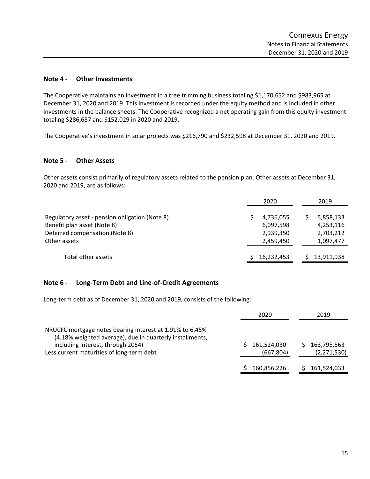# **Note 4 - Other Investments**

The Cooperative maintains an investment in a tree trimming business totaling \$1,170,652 and \$983,965 at December 31, 2020 and 2019. This investment is recorded under the equity method and is included in other investments in the balance sheets. The Cooperative recognized a net operating gain from this equity investment totaling \$286,687 and \$152,029 in 2020 and 2019.

The Cooperative's investment in solar projects was \$216,790 and \$232,598 at December 31, 2020 and 2019.

# **Note 5 - Other Assets**

Other assets consist primarily of regulatory assets related to the pension plan. Other assets at December 31, 2020 and 2019, are as follows:

|                                                | 2020 |            | 2019 |            |
|------------------------------------------------|------|------------|------|------------|
| Regulatory asset - pension obligation (Note 8) |      | 4,736,055  |      | 5,858,133  |
| Benefit plan asset (Note 8)                    |      | 6,097,598  |      | 4,253,116  |
| Deferred compensation (Note 8)<br>Other assets |      | 2,939,350  |      | 2,703,212  |
|                                                |      | 2,459,450  |      | 1,097,477  |
| Total other assets                             |      | 16,232,453 |      | 13,911,938 |

# **Note 6 - Long-Term Debt and Line-of-Credit Agreements**

Long-term debt as of December 31, 2020 and 2019, consists of the following:

|                                                                                                                                                                                                        | 2020                      | 2019                       |
|--------------------------------------------------------------------------------------------------------------------------------------------------------------------------------------------------------|---------------------------|----------------------------|
| NRUCFC mortgage notes bearing interest at 1.91% to 6.45%<br>(4.18% weighted average), due in quarterly installments,<br>including interest, through 2054)<br>Less current maturities of long-term debt | 161,524,030<br>(667, 804) | 163,795,563<br>(2,271,530) |
|                                                                                                                                                                                                        | 160,856,226               | 161,524,033                |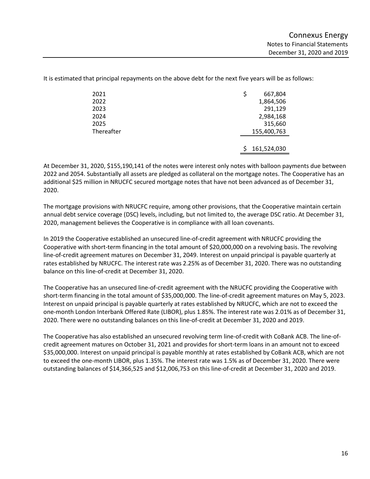It is estimated that principal repayments on the above debt for the next five years will be as follows:

| 2021       | \$<br>667,804 |
|------------|---------------|
| 2022       | 1,864,506     |
| 2023       | 291,129       |
| 2024       | 2,984,168     |
| 2025       | 315,660       |
| Thereafter | 155,400,763   |
|            |               |
|            | 161,524,030   |

At December 31, 2020, \$155,190,141 of the notes were interest only notes with balloon payments due between 2022 and 2054. Substantially all assets are pledged as collateral on the mortgage notes. The Cooperative has an additional \$25 million in NRUCFC secured mortgage notes that have not been advanced as of December 31, 2020.

The mortgage provisions with NRUCFC require, among other provisions, that the Cooperative maintain certain annual debt service coverage (DSC) levels, including, but not limited to, the average DSC ratio. At December 31, 2020, management believes the Cooperative is in compliance with all loan covenants.

In 2019 the Cooperative established an unsecured line-of-credit agreement with NRUCFC providing the Cooperative with short-term financing in the total amount of \$20,000,000 on a revolving basis. The revolving line-of-credit agreement matures on December 31, 2049. Interest on unpaid principal is payable quarterly at rates established by NRUCFC. The interest rate was 2.25% as of December 31, 2020. There was no outstanding balance on this line-of-credit at December 31, 2020.

The Cooperative has an unsecured line-of-credit agreement with the NRUCFC providing the Cooperative with short-term financing in the total amount of \$35,000,000. The line-of-credit agreement matures on May 5, 2023. Interest on unpaid principal is payable quarterly at rates established by NRUCFC, which are not to exceed the one-month London Interbank Offered Rate (LIBOR), plus 1.85%. The interest rate was 2.01% as of December 31, 2020. There were no outstanding balances on this line-of-credit at December 31, 2020 and 2019.

The Cooperative has also established an unsecured revolving term line-of-credit with CoBank ACB. The line-ofcredit agreement matures on October 31, 2021 and provides for short-term loans in an amount not to exceed \$35,000,000. Interest on unpaid principal is payable monthly at rates established by CoBank ACB, which are not to exceed the one-month LIBOR, plus 1.35%. The interest rate was 1.5% as of December 31, 2020. There were outstanding balances of \$14,366,525 and \$12,006,753 on this line-of-credit at December 31, 2020 and 2019.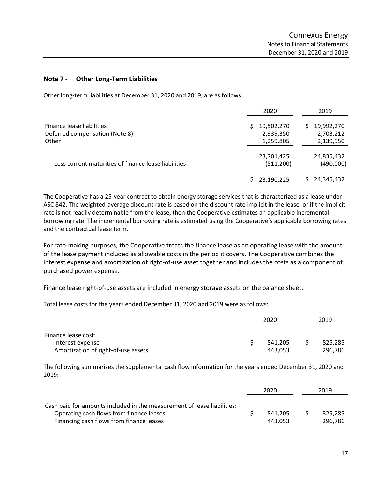# **Note 7 - Other Long-Term Liabilities**

Other long-term liabilities at December 31, 2020 and 2019, are as follows:

|                                                      | 2020                     | 2019                    |
|------------------------------------------------------|--------------------------|-------------------------|
| Finance lease liabilities                            | 19,502,270               | 19,992,270              |
| Deferred compensation (Note 8)                       | 2,939,350                | 2,703,212               |
| Other                                                | 1,259,805                | 2,139,950               |
| Less current maturities of finance lease liabilities | 23,701,425<br>(511, 200) | 24,835,432<br>(490,000) |
|                                                      | 23,190,225               | 24,345,432              |

The Cooperative has a 25-year contract to obtain energy storage services that is characterized as a lease under ASC 842. The weighted-average discount rate is based on the discount rate implicit in the lease, or if the implicit rate is not readily determinable from the lease, then the Cooperative estimates an applicable incremental borrowing rate. The incremental borrowing rate is estimated using the Cooperative's applicable borrowing rates and the contractual lease term.

For rate-making purposes, the Cooperative treats the finance lease as an operating lease with the amount of the lease payment included as allowable costs in the period it covers. The Cooperative combines the interest expense and amortization of right-of-use asset together and includes the costs as a component of purchased power expense.

Finance lease right-of-use assets are included in energy storage assets on the balance sheet.

Total lease costs for the years ended December 31, 2020 and 2019 were as follows:

|                                                                                | 2020               | 2019               |
|--------------------------------------------------------------------------------|--------------------|--------------------|
| Finance lease cost:<br>Interest expense<br>Amortization of right-of-use assets | 841.205<br>443.053 | 825,285<br>296.786 |

The following summarizes the supplemental cash flow information for the years ended December 31, 2020 and 2019:

|                                                                                                                                                                 | 2020               | 2019               |
|-----------------------------------------------------------------------------------------------------------------------------------------------------------------|--------------------|--------------------|
| Cash paid for amounts included in the measurement of lease liabilities:<br>Operating cash flows from finance leases<br>Financing cash flows from finance leases | 841.205<br>443.053 | 825.285<br>296.786 |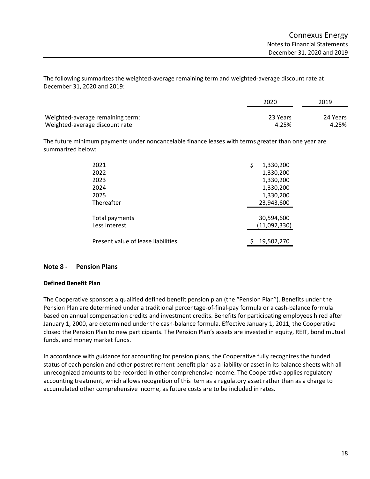The following summarizes the weighted-average remaining term and weighted-average discount rate at December 31, 2020 and 2019:

|                                  | 2020     | 2019     |
|----------------------------------|----------|----------|
| Weighted-average remaining term: | 23 Years | 24 Years |
| Weighted-average discount rate:  | 4.25%    | 4.25%    |

The future minimum payments under noncancelable finance leases with terms greater than one year are summarized below:

| 2021                               | \$<br>1,330,200 |
|------------------------------------|-----------------|
| 2022                               | 1,330,200       |
| 2023                               | 1,330,200       |
| 2024                               | 1,330,200       |
| 2025                               | 1,330,200       |
| Thereafter                         | 23,943,600      |
|                                    |                 |
| Total payments                     | 30,594,600      |
| Less interest                      | (11,092,330)    |
|                                    |                 |
| Present value of lease liabilities | 19,502,270      |

# **Note 8 - Pension Plans**

# **Defined Benefit Plan**

The Cooperative sponsors a qualified defined benefit pension plan (the "Pension Plan"). Benefits under the Pension Plan are determined under a traditional percentage-of-final-pay formula or a cash-balance formula based on annual compensation credits and investment credits. Benefits for participating employees hired after January 1, 2000, are determined under the cash-balance formula. Effective January 1, 2011, the Cooperative closed the Pension Plan to new participants. The Pension Plan's assets are invested in equity, REIT, bond mutual funds, and money market funds.

In accordance with guidance for accounting for pension plans, the Cooperative fully recognizes the funded status of each pension and other postretirement benefit plan as a liability or asset in its balance sheets with all unrecognized amounts to be recorded in other comprehensive income. The Cooperative applies regulatory accounting treatment, which allows recognition of this item as a regulatory asset rather than as a charge to accumulated other comprehensive income, as future costs are to be included in rates.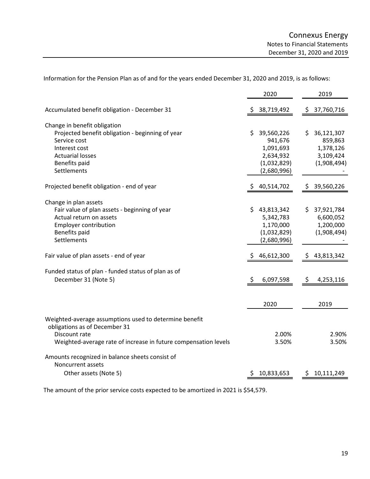|                                                                                                                                                                              | 2020                                                                                 | 2019                                                                  |
|------------------------------------------------------------------------------------------------------------------------------------------------------------------------------|--------------------------------------------------------------------------------------|-----------------------------------------------------------------------|
| Accumulated benefit obligation - December 31                                                                                                                                 | \$38,719,492                                                                         | \$37,760,716                                                          |
| Change in benefit obligation<br>Projected benefit obligation - beginning of year<br>Service cost<br>Interest cost<br><b>Actuarial losses</b><br>Benefits paid<br>Settlements | 39,560,226<br>\$.<br>941,676<br>1,091,693<br>2,634,932<br>(1,032,829)<br>(2,680,996) | 36,121,307<br>\$.<br>859,863<br>1,378,126<br>3,109,424<br>(1,908,494) |
| Projected benefit obligation - end of year                                                                                                                                   | \$40,514,702                                                                         | \$39,560,226                                                          |
| Change in plan assets<br>Fair value of plan assets - beginning of year<br>Actual return on assets<br><b>Employer contribution</b><br>Benefits paid<br>Settlements            | \$43,813,342<br>5,342,783<br>1,170,000<br>(1,032,829)<br>(2,680,996)                 | \$37,921,784<br>6,600,052<br>1,200,000<br>(1,908,494)                 |
| Fair value of plan assets - end of year                                                                                                                                      | 46,612,300<br>\$.                                                                    | \$43,813,342                                                          |
| Funded status of plan - funded status of plan as of<br>December 31 (Note 5)                                                                                                  | \$<br>6,097,598                                                                      | \$<br>4,253,116                                                       |
|                                                                                                                                                                              | 2020                                                                                 | 2019                                                                  |
| Weighted-average assumptions used to determine benefit<br>obligations as of December 31<br>Discount rate<br>Weighted-average rate of increase in future compensation levels  | 2.00%<br>3.50%                                                                       | 2.90%<br>3.50%                                                        |
| Amounts recognized in balance sheets consist of<br>Noncurrent assets<br>Other assets (Note 5)                                                                                | \$<br>10,833,653                                                                     | \$<br>10,111,249                                                      |
|                                                                                                                                                                              |                                                                                      |                                                                       |

Information for the Pension Plan as of and for the years ended December 31, 2020 and 2019, is as follows:

The amount of the prior service costs expected to be amortized in 2021 is \$54,579.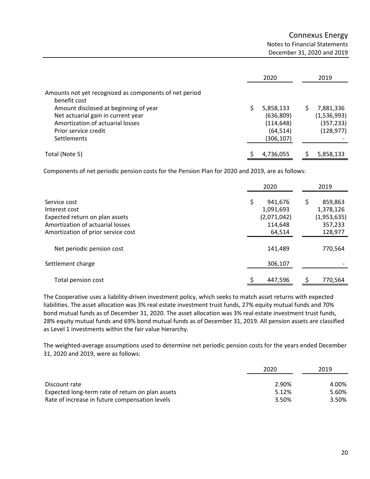# Connexus Energy Notes to Financial Statements December 31, 2020 and 2019

|                                                                                                                                                                                                                                  | 2020                                                            |   | 2019                                                 |
|----------------------------------------------------------------------------------------------------------------------------------------------------------------------------------------------------------------------------------|-----------------------------------------------------------------|---|------------------------------------------------------|
| Amounts not yet recognized as components of net period<br>benefit cost<br>Amount disclosed at beginning of year<br>Net actuarial gain in current year<br>Amortization of actuarial losses<br>Prior service credit<br>Settlements | 5,858,133<br>(636, 809)<br>(114, 648)<br>(64, 514)<br>(306,107) | S | 7,881,336<br>(1,536,993)<br>(357, 233)<br>(128, 977) |
| Total (Note 5)                                                                                                                                                                                                                   | 4,736,055                                                       |   | 5,858,133                                            |

Components of net periodic pension costs for the Pension Plan for 2020 and 2019, are as follows:

|                                    | 2020         | 2019          |
|------------------------------------|--------------|---------------|
| Service cost                       | 941,676<br>S | \$<br>859,863 |
| Interest cost                      | 1,091,693    | 1,378,126     |
| Expected return on plan assets     | (2,071,042)  | (1,953,635)   |
| Amortization of actuarial losses   | 114,648      | 357,233       |
| Amortization of prior service cost | 64,514       | 128,977       |
| Net periodic pension cost          | 141,489      | 770.564       |
| Settlement charge                  | 306,107      |               |
| Total pension cost                 | 447,596      | 770,564       |

The Cooperative uses a liability-driven investment policy, which seeks to match asset returns with expected liabilities. The asset allocation was 3% real estate investment trust funds, 27% equity mutual funds and 70% bond mutual funds as of December 31, 2020. The asset allocation was 3% real estate investment trust funds, 28% equity mutual funds and 69% bond mutual funds as of December 31, 2019. All pension assets are classified as Level 1 investments within the fair value hierarchy.

The weighted-average assumptions used to determine net periodic pension costs for the years ended December 31, 2020 and 2019, were as follows:

|                                                  | 2020  | 2019  |  |
|--------------------------------------------------|-------|-------|--|
| Discount rate                                    | 2.90% | 4.00% |  |
| Expected long-term rate of return on plan assets | 5.12% | 5.60% |  |
| Rate of increase in future compensation levels   | 3.50% | 3.50% |  |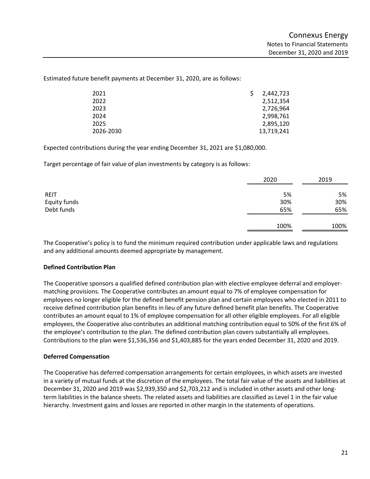Estimated future benefit payments at December 31, 2020, are as follows:

| 2021      | 2,442,723  |
|-----------|------------|
| 2022      | 2,512,354  |
| 2023      | 2,726,964  |
| 2024      | 2,998,761  |
| 2025      | 2,895,120  |
| 2026-2030 | 13,719,241 |

Expected contributions during the year ending December 31, 2021 are \$1,080,000.

Target percentage of fair value of plan investments by category is as follows:

|              | 2020 | 2019 |
|--------------|------|------|
| <b>REIT</b>  | 5%   | 5%   |
| Equity funds | 30%  | 30%  |
| Debt funds   | 65%  | 65%  |
|              | 100% | 100% |

The Cooperative's policy is to fund the minimum required contribution under applicable laws and regulations and any additional amounts deemed appropriate by management.

# **Defined Contribution Plan**

The Cooperative sponsors a qualified defined contribution plan with elective employee deferral and employermatching provisions. The Cooperative contributes an amount equal to 7% of employee compensation for employees no longer eligible for the defined benefit pension plan and certain employees who elected in 2011 to receive defined contribution plan benefits in lieu of any future defined benefit plan benefits. The Cooperative contributes an amount equal to 1% of employee compensation for all other eligible employees. For all eligible employees, the Cooperative also contributes an additional matching contribution equal to 50% of the first 6% of the employee's contribution to the plan. The defined contribution plan covers substantially all employees. Contributions to the plan were \$1,536,356 and \$1,403,885 for the years ended December 31, 2020 and 2019.

# **Deferred Compensation**

The Cooperative has deferred compensation arrangements for certain employees, in which assets are invested in a variety of mutual funds at the discretion of the employees. The total fair value of the assets and liabilities at December 31, 2020 and 2019 was \$2,939,350 and \$2,703,212 and is included in other assets and other longterm liabilities in the balance sheets. The related assets and liabilities are classified as Level 1 in the fair value hierarchy. Investment gains and losses are reported in other margin in the statements of operations.